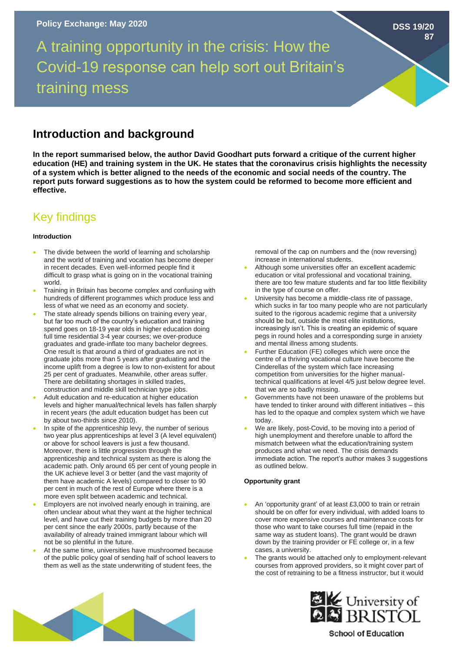A training opportunity in the crisis: How the Covid-19 response can help sort out Britain's training mess

## **Introduction and background**

**In the report summarised below, the author David Goodhart puts forward a critique of the current higher education (HE) and training system in the UK. He states that the coronavirus crisis highlights the necessity of a system which is better aligned to the needs of the economic and social needs of the country. The report puts forward suggestions as to how the system could be reformed to become more efficient and effective.** 

# Key findings

### **Introduction**

- The divide between the world of learning and scholarship and the world of training and vocation has become deeper in recent decades. Even well-informed people find it difficult to grasp what is going on in the vocational training world.
- Training in Britain has become complex and confusing with hundreds of different programmes which produce less and less of what we need as an economy and society.
- The state already spends billions on training every year, but far too much of the country's education and training spend goes on 18-19 year olds in higher education doing full time residential 3-4 year courses; we over-produce graduates and grade-inflate too many bachelor degrees. One result is that around a third of graduates are not in graduate jobs more than 5 years after graduating and the income uplift from a degree is low to non-existent for about 25 per cent of graduates. Meanwhile, other areas suffer. There are debilitating shortages in skilled trades, construction and middle skill technician type jobs.
- Adult education and re-education at higher education levels and higher manual/technical levels has fallen sharply in recent years (the adult education budget has been cut by about two-thirds since 2010).
- In spite of the apprenticeship levy, the number of serious two year plus apprenticeships at level 3 (A level equivalent) or above for school leavers is just a few thousand. Moreover, there is little progression through the apprenticeship and technical system as there is along the academic path. Only around 65 per cent of young people in the UK achieve level 3 or better (and the vast majority of them have academic A levels) compared to closer to 90 per cent in much of the rest of Europe where there is a more even split between academic and technical.
- Employers are not involved nearly enough in training, are often unclear about what they want at the higher technical level, and have cut their training budgets by more than 20 per cent since the early 2000s, partly because of the availability of already trained immigrant labour which will not be so plentiful in the future.
- At the same time, universities have mushroomed because of the public policy goal of sending half of school leavers to them as well as the state underwriting of student fees, the

removal of the cap on numbers and the (now reversing) increase in international students.

- Although some universities offer an excellent academic education or vital professional and vocational training, there are too few mature students and far too little flexibility in the type of course on offer.
- University has become a middle-class rite of passage, which sucks in far too many people who are not particularly suited to the rigorous academic regime that a university should be but, outside the most elite institutions, increasingly isn't. This is creating an epidemic of square pegs in round holes and a corresponding surge in anxiety and mental illness among students.
- Further Education (FE) colleges which were once the centre of a thriving vocational culture have become the Cinderellas of the system which face increasing competition from universities for the higher manualtechnical qualifications at level 4/5 just below degree level. that we are so badly missing.
- Governments have not been unaware of the problems but have tended to tinker around with different initiatives – this has led to the opaque and complex system which we have today.
- We are likely, post-Covid, to be moving into a period of high unemployment and therefore unable to afford the mismatch between what the education/training system produces and what we need. The crisis demands immediate action. The report's author makes 3 suggestions as outlined below.

### **Opportunity grant**

- An 'opportunity grant' of at least £3,000 to train or retrain should be on offer for every individual, with added loans to cover more expensive courses and maintenance costs for those who want to take courses full time (repaid in the same way as student loans). The grant would be drawn down by the training provider or FE college or, in a few cases, a university.
- The grants would be attached only to employment-relevant courses from approved providers, so it might cover part of the cost of retraining to be a fitness instructor, but it would





**School of Education** 

**DSS 19/20**

**87**